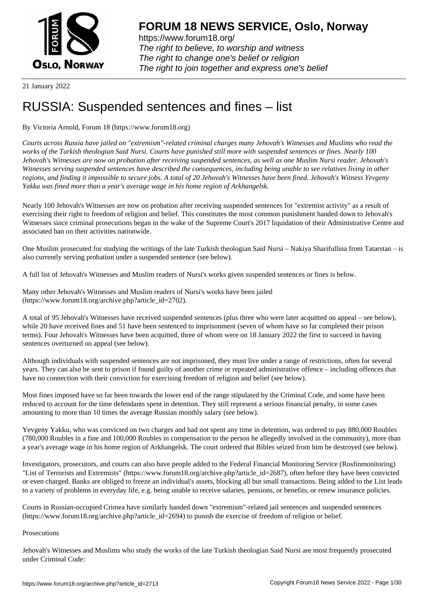

https://www.forum18.org/ The right to believe, to worship and witness The right to change one's belief or religion [The right to join together a](https://www.forum18.org/)nd express one's belief

21 January 2022

# [RUSSIA: Suspe](https://www.forum18.org)nded sentences and fines – list

## By Victoria Arnold, Forum 18 (https://www.forum18.org)

*Courts across Russia have jailed on "extremism"-related criminal charges many Jehovah's Witnesses and Muslims who read the works of the Turkish theologian Said Nursi. Courts have punished still more with suspended sentences or fines. Nearly 100 Jehovah's Witnesses are now on probation after receiving suspended sentences, as well as one Muslim Nursi reader. Jehovah's Witnesses serving suspended sentences have described the consequences, including being unable to see relatives living in other regions, and finding it impossible to secure jobs. A total of 20 Jehovah's Witnesses have been fined. Jehovah's Witness Yevgeny Yakku was fined more than a year's average wage in his home region of Arkhangelsk.*

Nearly 100 Jehovah's Witnesses are now on probation after receiving suspended sentences for "extremist activity" as a result of exercising their right to freedom of religion and belief. This constitutes the most common punishment handed down to Jehovah's Witnesses since criminal prosecutions began in the wake of the Supreme Court's 2017 liquidation of their Administrative Centre and associated ban on their activities nationwide.

One Muslim prosecuted for studying the writings of the late Turkish theologian Said Nursi – Nakiya Sharifullina from Tatarstan – is also currently serving probation under a suspended sentence (see below).

A full list of Jehovah's Witnesses and Muslim readers of Nursi's works given suspended sentences or fines is below.

Many other Jehovah's Witnesses and Muslim readers of Nursi's works have been jailed (https://www.forum18.org/archive.php?article\_id=2702).

A total of 95 Jehovah's Witnesses have received suspended sentences (plus three who were later acquitted on appeal – see below), while 20 have received fines and 51 have been sentenced to imprisonment (seven of whom have so far completed their prison terms). Four Jehovah's Witnesses have been acquitted, three of whom were on 18 January 2022 the first to succeed in having sentences overturned on appeal (see below).

Although individuals with suspended sentences are not imprisoned, they must live under a range of restrictions, often for several years. They can also be sent to prison if found guilty of another crime or repeated administrative offence – including offences that have no connection with their conviction for exercising freedom of religion and belief (see below).

Most fines imposed have so far been towards the lower end of the range stipulated by the Criminal Code, and some have been reduced to account for the time defendants spent in detention. They still represent a serious financial penalty, in some cases amounting to more than 10 times the average Russian monthly salary (see below).

Yevgeny Yakku, who was convicted on two charges and had not spent any time in detention, was ordered to pay 880,000 Roubles (780,000 Roubles in a fine and 100,000 Roubles in compensation to the person he allegedly involved in the community), more than a year's average wage in his home region of Arkhangelsk. The court ordered that Bibles seized from him be destroyed (see below).

Investigators, prosecutors, and courts can also have people added to the Federal Financial Monitoring Service (Rosfinmonitoring) "List of Terrorists and Extremists" (https://www.forum18.org/archive.php?article\_id=2687), often before they have been convicted or even charged. Banks are obliged to freeze an individual's assets, blocking all but small transactions. Being added to the List leads to a variety of problems in everyday life, e.g. being unable to receive salaries, pensions, or benefits, or renew insurance policies.

Courts in Russian-occupied Crimea have similarly handed down "extremism"-related jail sentences and suspended sentences (https://www.forum18.org/archive.php?article\_id=2694) to punish the exercise of freedom of religion or belief.

#### **Prosecutions**

Jehovah's Witnesses and Muslims who study the works of the late Turkish theologian Said Nursi are most frequently prosecuted under Criminal Code: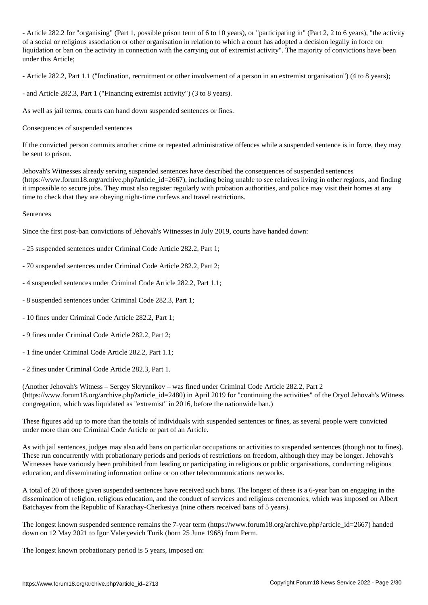- Article 282.2 for "organising" (Part 1, possible prison term of 6 to 10 years), or "participating in" (Part 2, 2 to 6 years), "the activity of a social or religious association or other organisation in relation to which a court has adopted a decision legally in force on liquidation or ban on the activity in connection with the carrying out of extremist activity". The majority of convictions have been under this Article;

- Article 282.2, Part 1.1 ("Inclination, recruitment or other involvement of a person in an extremist organisation") (4 to 8 years);

- and Article 282.3, Part 1 ("Financing extremist activity") (3 to 8 years).

As well as jail terms, courts can hand down suspended sentences or fines.

Consequences of suspended sentences

If the convicted person commits another crime or repeated administrative offences while a suspended sentence is in force, they may be sent to prison.

Jehovah's Witnesses already serving suspended sentences have described the consequences of suspended sentences (https://www.forum18.org/archive.php?article\_id=2667), including being unable to see relatives living in other regions, and finding it impossible to secure jobs. They must also register regularly with probation authorities, and police may visit their homes at any time to check that they are obeying night-time curfews and travel restrictions.

#### Sentences

Since the first post-ban convictions of Jehovah's Witnesses in July 2019, courts have handed down:

- 25 suspended sentences under Criminal Code Article 282.2, Part 1;
- 70 suspended sentences under Criminal Code Article 282.2, Part 2;
- 4 suspended sentences under Criminal Code Article 282.2, Part 1.1;
- 8 suspended sentences under Criminal Code 282.3, Part 1;
- 10 fines under Criminal Code Article 282.2, Part 1;
- 9 fines under Criminal Code Article 282.2, Part 2;
- 1 fine under Criminal Code Article 282.2, Part 1.1;
- 2 fines under Criminal Code Article 282.3, Part 1.

(Another Jehovah's Witness – Sergey Skrynnikov – was fined under Criminal Code Article 282.2, Part 2 (https://www.forum18.org/archive.php?article\_id=2480) in April 2019 for "continuing the activities" of the Oryol Jehovah's Witness congregation, which was liquidated as "extremist" in 2016, before the nationwide ban.)

These figures add up to more than the totals of individuals with suspended sentences or fines, as several people were convicted under more than one Criminal Code Article or part of an Article.

As with jail sentences, judges may also add bans on particular occupations or activities to suspended sentences (though not to fines). These run concurrently with probationary periods and periods of restrictions on freedom, although they may be longer. Jehovah's Witnesses have variously been prohibited from leading or participating in religious or public organisations, conducting religious education, and disseminating information online or on other telecommunications networks.

A total of 20 of those given suspended sentences have received such bans. The longest of these is a 6-year ban on engaging in the dissemination of religion, religious education, and the conduct of services and religious ceremonies, which was imposed on Albert Batchayev from the Republic of Karachay-Cherkesiya (nine others received bans of 5 years).

The longest known suspended sentence remains the 7-year term (https://www.forum18.org/archive.php?article\_id=2667) handed down on 12 May 2021 to Igor Valeryevich Turik (born 25 June 1968) from Perm.

The longest known probationary period is 5 years, imposed on: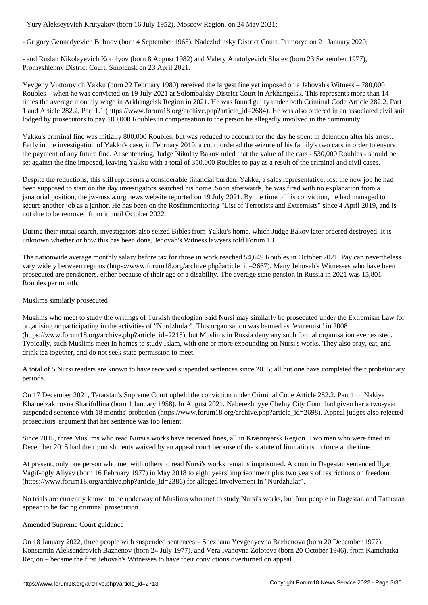- Grigory Gennadyevich Bubnov (born 4 September 1965), Nadezhdinsky District Court, Primorye on 21 January 2020;

- and Ruslan Nikolayevich Korolyov (born 8 August 1982) and Valery Anatolyevich Shalev (born 23 September 1977), Promyshlenny District Court, Smolensk on 23 April 2021.

Yevgeny Viktorovich Yakku (born 22 February 1980) received the largest fine yet imposed on a Jehovah's Witness – 780,000 Roubles – when he was convicted on 19 July 2021 at Solombalsky District Court in Arkhangelsk. This represents more than 14 times the average monthly wage in Arkhangelsk Region in 2021. He was found guilty under both Criminal Code Article 282.2, Part 1 and Article 282.2, Part 1.1 (https://www.forum18.org/archive.php?article\_id=2684). He was also ordered in an associated civil suit lodged by prosecutors to pay 100,000 Roubles in compensation to the person he allegedly involved in the community.

Yakku's criminal fine was initially 800,000 Roubles, but was reduced to account for the day he spent in detention after his arrest. Early in the investigation of Yakku's case, in February 2019, a court ordered the seizure of his family's two cars in order to ensure the payment of any future fine. At sentencing, Judge Nikolay Bakov ruled that the value of the cars - 530,000 Roubles - should be set against the fine imposed, leaving Yakku with a total of 350,000 Roubles to pay as a result of the criminal and civil cases.

Despite the reductions, this still represents a considerable financial burden. Yakku, a sales representative, lost the new job he had been supposed to start on the day investigators searched his home. Soon afterwards, he was fired with no explanation from a janatorial position, the jw-russia.org news website reported on 19 July 2021. By the time of his conviction, he had managed to secure another job as a janitor. He has been on the Rosfinmonitoring "List of Terrorists and Extremists" since 4 April 2019, and is not due to be removed from it until October 2022.

During their initial search, investigators also seized Bibles from Yakku's home, which Judge Bakov later ordered destroyed. It is unknown whether or how this has been done, Jehovah's Witness lawyers told Forum 18.

The nationwide average monthly salary before tax for those in work reached 54,649 Roubles in October 2021. Pay can nevertheless vary widely between regions (https://www.forum18.org/archive.php?article\_id=2667). Many Jehovah's Witnesses who have been prosecuted are pensioners, either because of their age or a disability. The average state pension in Russia in 2021 was 15,801 Roubles per month.

### Muslims similarly prosecuted

Muslims who meet to study the writings of Turkish theologian Said Nursi may similarly be prosecuted under the Extremism Law for organising or participating in the activities of "Nurdzhular". This organisation was banned as "extremist" in 2008 (https://www.forum18.org/archive.php?article\_id=2215), but Muslims in Russia deny any such formal organisation ever existed. Typically, such Muslims meet in homes to study Islam, with one or more expounding on Nursi's works. They also pray, eat, and drink tea together, and do not seek state permission to meet.

A total of 5 Nursi readers are known to have received suspended sentences since 2015; all but one have completed their probationary periods.

On 17 December 2021, Tatarstan's Supreme Court upheld the conviction under Criminal Code Article 282.2, Part 1 of Nakiya Khametzakirovna Sharifullina (born 1 January 1958). In August 2021, Naberezhnyye Chelny City Court had given her a two-year suspended sentence with 18 months' probation (https://www.forum18.org/archive.php?article\_id=2698). Appeal judges also rejected prosecutors' argument that her sentence was too lenient.

Since 2015, three Muslims who read Nursi's works have received fines, all in Krasnoyarsk Region. Two men who were fined in December 2015 had their punishments waived by an appeal court because of the statute of limitations in force at the time.

At present, only one person who met with others to read Nursi's works remains imprisoned. A court in Dagestan sentenced Ilgar Vagif-ogly Aliyev (born 16 February 1977) in May 2018 to eight years' imprisonment plus two years of restrictions on freedom (https://www.forum18.org/archive.php?article\_id=2386) for alleged involvement in "Nurdzhular".

No trials are currently known to be underway of Muslims who met to study Nursi's works, but four people in Dagestan and Tatarstan appear to be facing criminal prosecution.

#### Amended Supreme Court guidance

On 18 January 2022, three people with suspended sentences – Snezhana Yevgenyevna Bazhenova (born 20 December 1977), Konstantin Aleksandrovich Bazhenov (born 24 July 1977), and Vera Ivanovna Zolotova (born 20 October 1946), from Kamchatka Region – became the first Jehovah's Witnesses to have their convictions overturned on appeal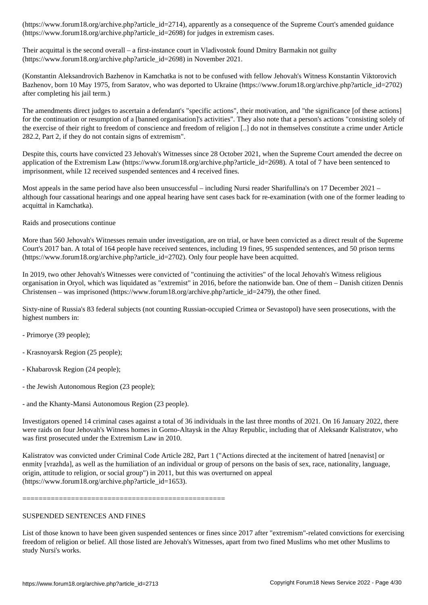$\begin{array}{ccc} \text{N} & \text{N} & \text{N} \end{array}$  for in extremism cases. The  $\begin{array}{ccc} \text{N} & \text{N} & \text{N} \end{array}$  cases. The set of  $\begin{array}{ccc} \text{N} & \text{N} & \text{N} \end{array}$ 

Their acquittal is the second overall – a first-instance court in Vladivostok found Dmitry Barmakin not guilty (https://www.forum18.org/archive.php?article\_id=2698) in November 2021.

(Konstantin Aleksandrovich Bazhenov in Kamchatka is not to be confused with fellow Jehovah's Witness Konstantin Viktorovich Bazhenov, born 10 May 1975, from Saratov, who was deported to Ukraine (https://www.forum18.org/archive.php?article\_id=2702) after completing his jail term.)

The amendments direct judges to ascertain a defendant's "specific actions", their motivation, and "the significance [of these actions] for the continuation or resumption of a [banned organisation]'s activities". They also note that a person's actions "consisting solely of the exercise of their right to freedom of conscience and freedom of religion [..] do not in themselves constitute a crime under Article 282.2, Part 2, if they do not contain signs of extremism".

Despite this, courts have convicted 23 Jehovah's Witnesses since 28 October 2021, when the Supreme Court amended the decree on application of the Extremism Law (https://www.forum18.org/archive.php?article\_id=2698). A total of 7 have been sentenced to imprisonment, while 12 received suspended sentences and 4 received fines.

Most appeals in the same period have also been unsuccessful – including Nursi reader Sharifullina's on 17 December 2021 – although four cassational hearings and one appeal hearing have sent cases back for re-examination (with one of the former leading to acquittal in Kamchatka).

Raids and prosecutions continue

More than 560 Jehovah's Witnesses remain under investigation, are on trial, or have been convicted as a direct result of the Supreme Court's 2017 ban. A total of 164 people have received sentences, including 19 fines, 95 suspended sentences, and 50 prison terms (https://www.forum18.org/archive.php?article\_id=2702). Only four people have been acquitted.

In 2019, two other Jehovah's Witnesses were convicted of "continuing the activities" of the local Jehovah's Witness religious organisation in Oryol, which was liquidated as "extremist" in 2016, before the nationwide ban. One of them – Danish citizen Dennis Christensen – was imprisoned (https://www.forum18.org/archive.php?article\_id=2479), the other fined.

Sixty-nine of Russia's 83 federal subjects (not counting Russian-occupied Crimea or Sevastopol) have seen prosecutions, with the highest numbers in:

- Primorye (39 people);
- Krasnoyarsk Region (25 people);
- Khabarovsk Region (24 people);
- the Jewish Autonomous Region (23 people);
- and the Khanty-Mansi Autonomous Region (23 people).

Investigators opened 14 criminal cases against a total of 36 individuals in the last three months of 2021. On 16 January 2022, there were raids on four Jehovah's Witness homes in Gorno-Altaysk in the Altay Republic, including that of Aleksandr Kalistratov, who was first prosecuted under the Extremism Law in 2010.

Kalistratov was convicted under Criminal Code Article 282, Part 1 ("Actions directed at the incitement of hatred [nenavist] or enmity [vrazhda], as well as the humiliation of an individual or group of persons on the basis of sex, race, nationality, language, origin, attitude to religion, or social group") in 2011, but this was overturned on appeal (https://www.forum18.org/archive.php?article\_id=1653).

==================================================

#### SUSPENDED SENTENCES AND FINES

List of those known to have been given suspended sentences or fines since 2017 after "extremism"-related convictions for exercising freedom of religion or belief. All those listed are Jehovah's Witnesses, apart from two fined Muslims who met other Muslims to study Nursi's works.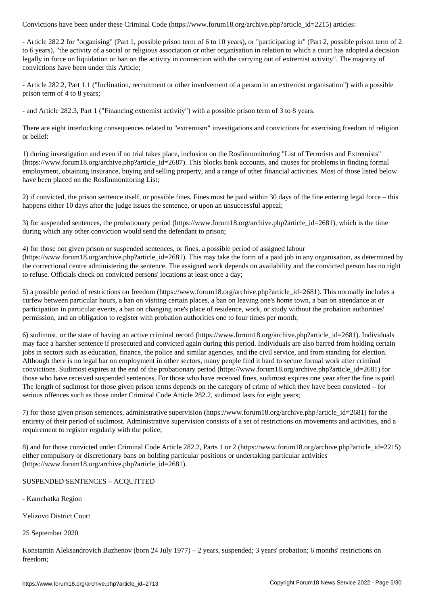- Article 282.2 for "organising" (Part 1, possible prison term of 6 to 10 years), or "participating in" (Part 2, possible prison term of 2 to 6 years), "the activity of a social or religious association or other organisation in relation to which a court has adopted a decision legally in force on liquidation or ban on the activity in connection with the carrying out of extremist activity". The majority of convictions have been under this Article;

- Article 282.2, Part 1.1 ("Inclination, recruitment or other involvement of a person in an extremist organisation") with a possible prison term of 4 to 8 years;

- and Article 282.3, Part 1 ("Financing extremist activity") with a possible prison term of 3 to 8 years.

There are eight interlocking consequences related to "extremism" investigations and convictions for exercising freedom of religion or belief:

1) during investigation and even if no trial takes place, inclusion on the Rosfinmonitoring "List of Terrorists and Extremists" (https://www.forum18.org/archive.php?article\_id=2687). This blocks bank accounts, and causes for problems in finding formal employment, obtaining insurance, buying and selling property, and a range of other financial activities. Most of those listed below have been placed on the Rosfinmonitoring List;

2) if convicted, the prison sentence itself, or possible fines. Fines must be paid within 30 days of the fine entering legal force – this happens either 10 days after the judge issues the sentence, or upon an unsuccessful appeal;

3) for suspended sentences, the probationary period (https://www.forum18.org/archive.php?article\_id=2681), which is the time during which any other conviction would send the defendant to prison;

4) for those not given prison or suspended sentences, or fines, a possible period of assigned labour (https://www.forum18.org/archive.php?article\_id=2681). This may take the form of a paid job in any organisation, as determined by the correctional centre administering the sentence. The assigned work depends on availability and the convicted person has no right to refuse. Officials check on convicted persons' locations at least once a day;

5) a possible period of restrictions on freedom (https://www.forum18.org/archive.php?article\_id=2681). This normally includes a curfew between particular hours, a ban on visiting certain places, a ban on leaving one's home town, a ban on attendance at or participation in particular events, a ban on changing one's place of residence, work, or study without the probation authorities' permission, and an obligation to register with probation authorities one to four times per month;

6) sudimost, or the state of having an active criminal record (https://www.forum18.org/archive.php?article\_id=2681). Individuals may face a harsher sentence if prosecuted and convicted again during this period. Individuals are also barred from holding certain jobs in sectors such as education, finance, the police and similar agencies, and the civil service, and from standing for election. Although there is no legal bar on employment in other sectors, many people find it hard to secure formal work after criminal convictions. Sudimost expires at the end of the probationary period (https://www.forum18.org/archive.php?article\_id=2681) for those who have received suspended sentences. For those who have received fines, sudimost expires one year after the fine is paid. The length of sudimost for those given prison terms depends on the category of crime of which they have been convicted – for serious offences such as those under Criminal Code Article 282.2, sudimost lasts for eight years;

7) for those given prison sentences, administrative supervision (https://www.forum18.org/archive.php?article\_id=2681) for the entirety of their period of sudimost. Administrative supervision consists of a set of restrictions on movements and activities, and a requirement to register regularly with the police;

8) and for those convicted under Criminal Code Article 282.2, Parts 1 or 2 (https://www.forum18.org/archive.php?article\_id=2215) either compulsory or discretionary bans on holding particular positions or undertaking particular activities (https://www.forum18.org/archive.php?article\_id=2681).

#### SUSPENDED SENTENCES – ACQUITTED

- Kamchatka Region

Yelizovo District Court

25 September 2020

Konstantin Aleksandrovich Bazhenov (born 24 July 1977) – 2 years, suspended; 3 years' probation; 6 months' restrictions on freedom;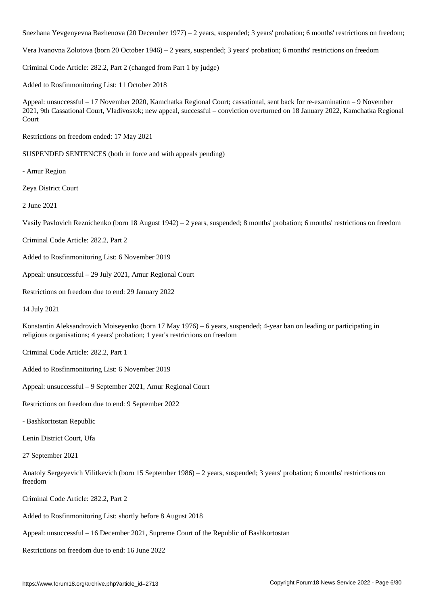Snezhana Yevgenyevna Bazhenova (20 December 1977) – 2 years, suspended; 3 years' probation; 6 months' restrictions on freedom;

Vera Ivanovna Zolotova (born 20 October 1946) – 2 years, suspended; 3 years' probation; 6 months' restrictions on freedom

Criminal Code Article: 282.2, Part 2 (changed from Part 1 by judge)

Added to Rosfinmonitoring List: 11 October 2018

Appeal: unsuccessful – 17 November 2020, Kamchatka Regional Court; cassational, sent back for re-examination – 9 November 2021, 9th Cassational Court, Vladivostok; new appeal, successful – conviction overturned on 18 January 2022, Kamchatka Regional Court

Restrictions on freedom ended: 17 May 2021

SUSPENDED SENTENCES (both in force and with appeals pending)

- Amur Region

Zeya District Court

2 June 2021

Vasily Pavlovich Reznichenko (born 18 August 1942) – 2 years, suspended; 8 months' probation; 6 months' restrictions on freedom

Criminal Code Article: 282.2, Part 2

Added to Rosfinmonitoring List: 6 November 2019

Appeal: unsuccessful – 29 July 2021, Amur Regional Court

Restrictions on freedom due to end: 29 January 2022

14 July 2021

Konstantin Aleksandrovich Moiseyenko (born 17 May 1976) – 6 years, suspended; 4-year ban on leading or participating in religious organisations; 4 years' probation; 1 year's restrictions on freedom

Criminal Code Article: 282.2, Part 1

Added to Rosfinmonitoring List: 6 November 2019

Appeal: unsuccessful – 9 September 2021, Amur Regional Court

Restrictions on freedom due to end: 9 September 2022

- Bashkortostan Republic

Lenin District Court, Ufa

27 September 2021

Anatoly Sergeyevich Vilitkevich (born 15 September 1986) – 2 years, suspended; 3 years' probation; 6 months' restrictions on freedom

Criminal Code Article: 282.2, Part 2

Added to Rosfinmonitoring List: shortly before 8 August 2018

Appeal: unsuccessful – 16 December 2021, Supreme Court of the Republic of Bashkortostan

Restrictions on freedom due to end: 16 June 2022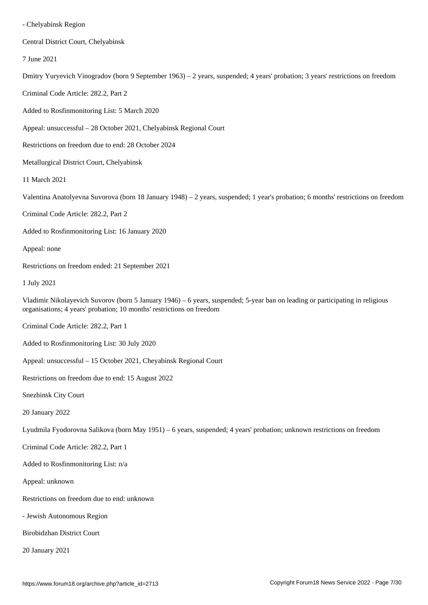Central District Court, Chelyabinsk

7 June 2021

Dmitry Yuryevich Vinogradov (born 9 September 1963) – 2 years, suspended; 4 years' probation; 3 years' restrictions on freedom

Criminal Code Article: 282.2, Part 2

Added to Rosfinmonitoring List: 5 March 2020

Appeal: unsuccessful – 28 October 2021, Chelyabinsk Regional Court

Restrictions on freedom due to end: 28 October 2024

Metallurgical District Court, Chelyabinsk

11 March 2021

Valentina Anatolyevna Suvorova (born 18 January 1948) – 2 years, suspended; 1 year's probation; 6 months' restrictions on freedom

Criminal Code Article: 282.2, Part 2

Added to Rosfinmonitoring List: 16 January 2020

Appeal: none

Restrictions on freedom ended: 21 September 2021

1 July 2021

Vladimir Nikolayevich Suvorov (born 5 January 1946) – 6 years, suspended; 5-year ban on leading or participating in religious organisations; 4 years' probation; 10 months' restrictions on freedom

Criminal Code Article: 282.2, Part 1

Added to Rosfinmonitoring List: 30 July 2020

Appeal: unsuccessful – 15 October 2021, Cheyabinsk Regional Court

Restrictions on freedom due to end: 15 August 2022

Snezhinsk City Court

20 January 2022

Lyudmila Fyodorovna Salikova (born May 1951) – 6 years, suspended; 4 years' probation; unknown restrictions on freedom

Criminal Code Article: 282.2, Part 1

Added to Rosfinmonitoring List: n/a

Appeal: unknown

Restrictions on freedom due to end: unknown

- Jewish Autonomous Region

Birobidzhan District Court

20 January 2021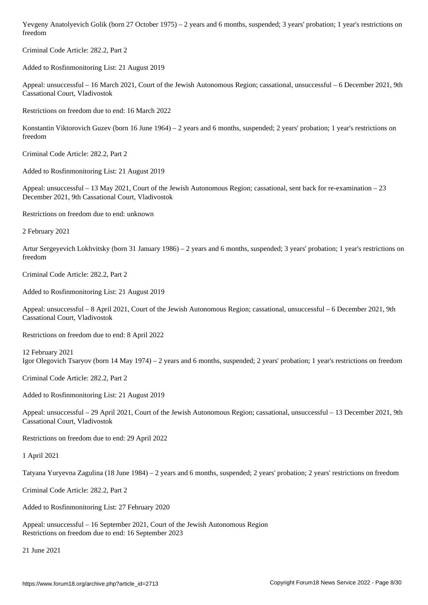Criminal Code Article: 282.2, Part 2

Added to Rosfinmonitoring List: 21 August 2019

Appeal: unsuccessful – 16 March 2021, Court of the Jewish Autonomous Region; cassational, unsuccessful – 6 December 2021, 9th Cassational Court, Vladivostok

Restrictions on freedom due to end: 16 March 2022

Konstantin Viktorovich Guzev (born 16 June 1964) – 2 years and 6 months, suspended; 2 years' probation; 1 year's restrictions on freedom

Criminal Code Article: 282.2, Part 2

Added to Rosfinmonitoring List: 21 August 2019

Appeal: unsuccessful – 13 May 2021, Court of the Jewish Autonomous Region; cassational, sent back for re-examination – 23 December 2021, 9th Cassational Court, Vladivostok

Restrictions on freedom due to end: unknown

2 February 2021

Artur Sergeyevich Lokhvitsky (born 31 January 1986) – 2 years and 6 months, suspended; 3 years' probation; 1 year's restrictions on freedom

Criminal Code Article: 282.2, Part 2

Added to Rosfinmonitoring List: 21 August 2019

Appeal: unsuccessful – 8 April 2021, Court of the Jewish Autonomous Region; cassational, unsuccessful – 6 December 2021, 9th Cassational Court, Vladivostok

Restrictions on freedom due to end: 8 April 2022

12 February 2021 Igor Olegovich Tsaryov (born 14 May 1974) – 2 years and 6 months, suspended; 2 years' probation; 1 year's restrictions on freedom

Criminal Code Article: 282.2, Part 2

Added to Rosfinmonitoring List: 21 August 2019

Appeal: unsuccessful – 29 April 2021, Court of the Jewish Autonomous Region; cassational, unsuccessful – 13 December 2021, 9th Cassational Court, Vladivostok

Restrictions on freedom due to end: 29 April 2022

1 April 2021

Tatyana Yuryevna Zagulina (18 June 1984) – 2 years and 6 months, suspended; 2 years' probation; 2 years' restrictions on freedom

Criminal Code Article: 282.2, Part 2

Added to Rosfinmonitoring List: 27 February 2020

Appeal: unsuccessful – 16 September 2021, Court of the Jewish Autonomous Region Restrictions on freedom due to end: 16 September 2023

21 June 2021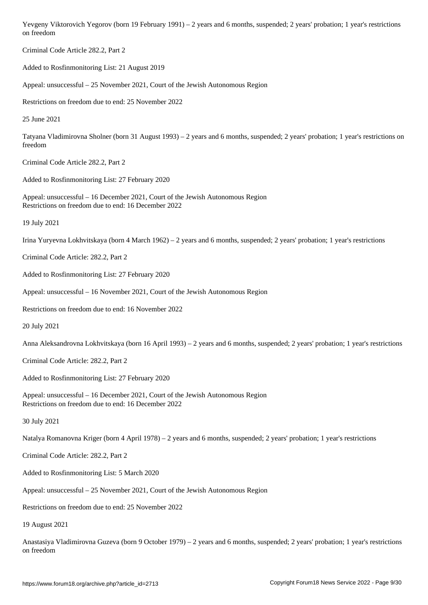Criminal Code Article 282.2, Part 2

Added to Rosfinmonitoring List: 21 August 2019

Appeal: unsuccessful – 25 November 2021, Court of the Jewish Autonomous Region

Restrictions on freedom due to end: 25 November 2022

25 June 2021

Tatyana Vladimirovna Sholner (born 31 August 1993) – 2 years and 6 months, suspended; 2 years' probation; 1 year's restrictions on freedom

Criminal Code Article 282.2, Part 2

Added to Rosfinmonitoring List: 27 February 2020

Appeal: unsuccessful – 16 December 2021, Court of the Jewish Autonomous Region Restrictions on freedom due to end: 16 December 2022

19 July 2021

Irina Yuryevna Lokhvitskaya (born 4 March 1962) – 2 years and 6 months, suspended; 2 years' probation; 1 year's restrictions

Criminal Code Article: 282.2, Part 2

Added to Rosfinmonitoring List: 27 February 2020

Appeal: unsuccessful – 16 November 2021, Court of the Jewish Autonomous Region

Restrictions on freedom due to end: 16 November 2022

20 July 2021

Anna Aleksandrovna Lokhvitskaya (born 16 April 1993) – 2 years and 6 months, suspended; 2 years' probation; 1 year's restrictions

Criminal Code Article: 282.2, Part 2

Added to Rosfinmonitoring List: 27 February 2020

Appeal: unsuccessful – 16 December 2021, Court of the Jewish Autonomous Region Restrictions on freedom due to end: 16 December 2022

30 July 2021

Natalya Romanovna Kriger (born 4 April 1978) – 2 years and 6 months, suspended; 2 years' probation; 1 year's restrictions

Criminal Code Article: 282.2, Part 2

Added to Rosfinmonitoring List: 5 March 2020

Appeal: unsuccessful – 25 November 2021, Court of the Jewish Autonomous Region

Restrictions on freedom due to end: 25 November 2022

19 August 2021

Anastasiya Vladimirovna Guzeva (born 9 October 1979) – 2 years and 6 months, suspended; 2 years' probation; 1 year's restrictions on freedom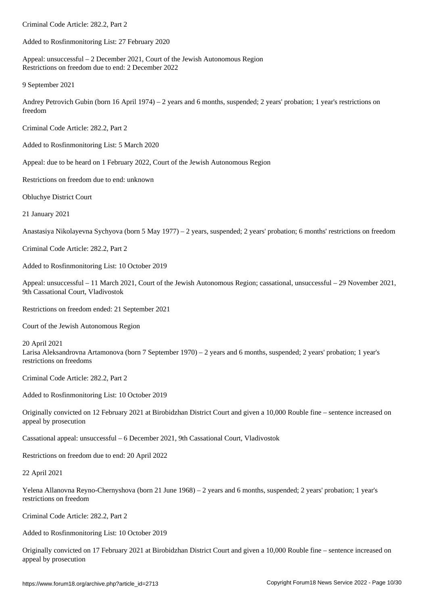Added to Rosfinmonitoring List: 27 February 2020

Appeal: unsuccessful – 2 December 2021, Court of the Jewish Autonomous Region Restrictions on freedom due to end: 2 December 2022

9 September 2021

Andrey Petrovich Gubin (born 16 April 1974) – 2 years and 6 months, suspended; 2 years' probation; 1 year's restrictions on freedom

Criminal Code Article: 282.2, Part 2

Added to Rosfinmonitoring List: 5 March 2020

Appeal: due to be heard on 1 February 2022, Court of the Jewish Autonomous Region

Restrictions on freedom due to end: unknown

Obluchye District Court

21 January 2021

Anastasiya Nikolayevna Sychyova (born 5 May 1977) – 2 years, suspended; 2 years' probation; 6 months' restrictions on freedom

Criminal Code Article: 282.2, Part 2

Added to Rosfinmonitoring List: 10 October 2019

Appeal: unsuccessful – 11 March 2021, Court of the Jewish Autonomous Region; cassational, unsuccessful – 29 November 2021, 9th Cassational Court, Vladivostok

Restrictions on freedom ended: 21 September 2021

Court of the Jewish Autonomous Region

20 April 2021

Larisa Aleksandrovna Artamonova (born 7 September 1970) – 2 years and 6 months, suspended; 2 years' probation; 1 year's restrictions on freedoms

Criminal Code Article: 282.2, Part 2

Added to Rosfinmonitoring List: 10 October 2019

Originally convicted on 12 February 2021 at Birobidzhan District Court and given a 10,000 Rouble fine – sentence increased on appeal by prosecution

Cassational appeal: unsuccessful – 6 December 2021, 9th Cassational Court, Vladivostok

Restrictions on freedom due to end: 20 April 2022

22 April 2021

Yelena Allanovna Reyno-Chernyshova (born 21 June 1968) – 2 years and 6 months, suspended; 2 years' probation; 1 year's restrictions on freedom

Criminal Code Article: 282.2, Part 2

Added to Rosfinmonitoring List: 10 October 2019

Originally convicted on 17 February 2021 at Birobidzhan District Court and given a 10,000 Rouble fine – sentence increased on appeal by prosecution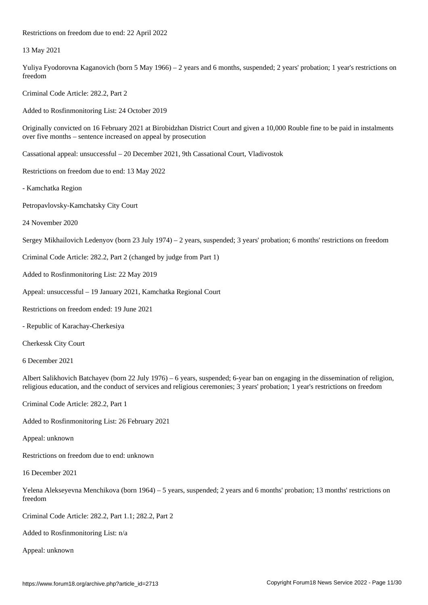13 May 2021

Yuliya Fyodorovna Kaganovich (born 5 May 1966) – 2 years and 6 months, suspended; 2 years' probation; 1 year's restrictions on freedom

Criminal Code Article: 282.2, Part 2

Added to Rosfinmonitoring List: 24 October 2019

Restrictions on freedom due to end: 22 April 2022

Originally convicted on 16 February 2021 at Birobidzhan District Court and given a 10,000 Rouble fine to be paid in instalments over five months – sentence increased on appeal by prosecution

Cassational appeal: unsuccessful – 20 December 2021, 9th Cassational Court, Vladivostok

Restrictions on freedom due to end: 13 May 2022

- Kamchatka Region

Petropavlovsky-Kamchatsky City Court

24 November 2020

Sergey Mikhailovich Ledenyov (born 23 July 1974) – 2 years, suspended; 3 years' probation; 6 months' restrictions on freedom

Criminal Code Article: 282.2, Part 2 (changed by judge from Part 1)

Added to Rosfinmonitoring List: 22 May 2019

Appeal: unsuccessful – 19 January 2021, Kamchatka Regional Court

Restrictions on freedom ended: 19 June 2021

- Republic of Karachay-Cherkesiya

Cherkessk City Court

6 December 2021

Albert Salikhovich Batchayev (born 22 July 1976) – 6 years, suspended; 6-year ban on engaging in the dissemination of religion, religious education, and the conduct of services and religious ceremonies; 3 years' probation; 1 year's restrictions on freedom

Criminal Code Article: 282.2, Part 1

Added to Rosfinmonitoring List: 26 February 2021

Appeal: unknown

Restrictions on freedom due to end: unknown

16 December 2021

Yelena Alekseyevna Menchikova (born 1964) – 5 years, suspended; 2 years and 6 months' probation; 13 months' restrictions on freedom

Criminal Code Article: 282.2, Part 1.1; 282.2, Part 2

Added to Rosfinmonitoring List: n/a

Appeal: unknown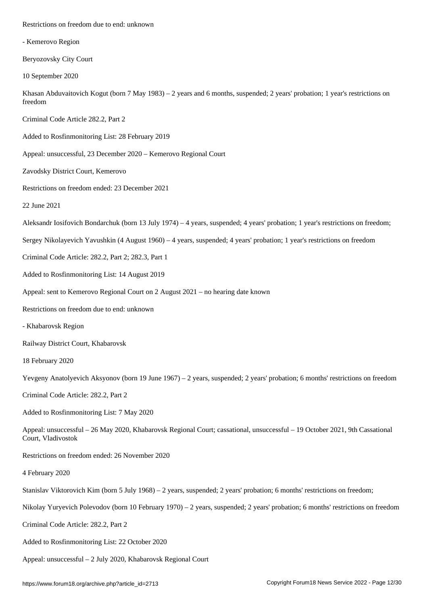| - Kemerovo Region                                                                                                                                 |
|---------------------------------------------------------------------------------------------------------------------------------------------------|
| Beryozovsky City Court                                                                                                                            |
| 10 September 2020                                                                                                                                 |
| Khasan Abduvaitovich Kogut (born 7 May 1983) – 2 years and 6 months, suspended; 2 years' probation; 1 year's restrictions on<br>freedom           |
| Criminal Code Article 282.2, Part 2                                                                                                               |
| Added to Rosfinmonitoring List: 28 February 2019                                                                                                  |
| Appeal: unsuccessful, 23 December 2020 - Kemerovo Regional Court                                                                                  |
| Zavodsky District Court, Kemerovo                                                                                                                 |
| Restrictions on freedom ended: 23 December 2021                                                                                                   |
| 22 June 2021                                                                                                                                      |
| Aleksandr Iosifovich Bondarchuk (born 13 July 1974) – 4 years, suspended; 4 years' probation; 1 year's restrictions on freedom;                   |
| Sergey Nikolayevich Yavushkin (4 August 1960) – 4 years, suspended; 4 years' probation; 1 year's restrictions on freedom                          |
| Criminal Code Article: 282.2, Part 2; 282.3, Part 1                                                                                               |
| Added to Rosfinmonitoring List: 14 August 2019                                                                                                    |
| Appeal: sent to Kemerovo Regional Court on 2 August 2021 - no hearing date known                                                                  |
| Restrictions on freedom due to end: unknown                                                                                                       |
| - Khabarovsk Region                                                                                                                               |
| Railway District Court, Khabarovsk                                                                                                                |
| 18 February 2020                                                                                                                                  |
| Yevgeny Anatolyevich Aksyonov (born 19 June $1967$ ) – 2 years, suspended; 2 years' probation; 6 months' restrictions on freedom                  |
| Criminal Code Article: 282.2, Part 2                                                                                                              |
| Added to Rosfinmonitoring List: 7 May 2020                                                                                                        |
| Appeal: unsuccessful - 26 May 2020, Khabarovsk Regional Court; cassational, unsuccessful - 19 October 2021, 9th Cassational<br>Court, Vladivostok |
| Restrictions on freedom ended: 26 November 2020                                                                                                   |
| 4 February 2020                                                                                                                                   |
| Stanislav Viktorovich Kim (born 5 July 1968) – 2 years, suspended; 2 years' probation; 6 months' restrictions on freedom;                         |
| Nikolay Yuryevich Polevodov (born 10 February 1970) – 2 years, suspended; 2 years' probation; 6 months' restrictions on freedom                   |
| Criminal Code Article: 282.2, Part 2                                                                                                              |
| Added to Rosfinmonitoring List: 22 October 2020                                                                                                   |
| Appeal: unsuccessful - 2 July 2020, Khabarovsk Regional Court                                                                                     |
|                                                                                                                                                   |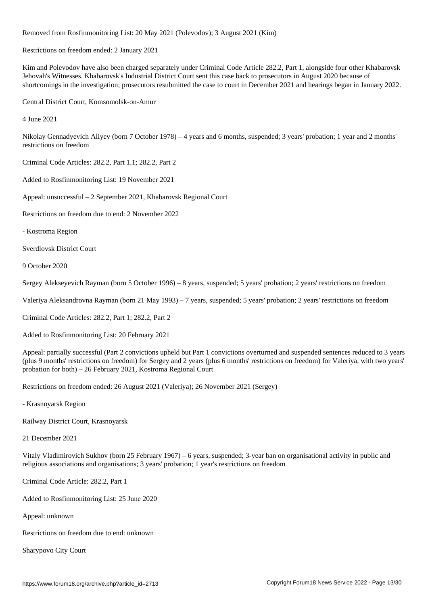Removed from Rosfinmonitoring List: 20 May 2021 (Polevodov); 3 August 2021 (Kim)

Restrictions on freedom ended: 2 January 2021

Kim and Polevodov have also been charged separately under Criminal Code Article 282.2, Part 1, alongside four other Khabarovsk Jehovah's Witnesses. Khabarovsk's Industrial District Court sent this case back to prosecutors in August 2020 because of shortcomings in the investigation; prosecutors resubmitted the case to court in December 2021 and hearings began in January 2022.

Central District Court, Komsomolsk-on-Amur

4 June 2021

Nikolay Gennadyevich Aliyev (born 7 October 1978) – 4 years and 6 months, suspended; 3 years' probation; 1 year and 2 months' restrictions on freedom

Criminal Code Articles: 282.2, Part 1.1; 282.2, Part 2

Added to Rosfinmonitoring List: 19 November 2021

Appeal: unsuccessful – 2 September 2021, Khabarovsk Regional Court

Restrictions on freedom due to end: 2 November 2022

- Kostroma Region

Sverdlovsk District Court

9 October 2020

Sergey Alekseyevich Rayman (born 5 October 1996) – 8 years, suspended; 5 years' probation; 2 years' restrictions on freedom

Valeriya Aleksandrovna Rayman (born 21 May 1993) – 7 years, suspended; 5 years' probation; 2 years' restrictions on freedom

Criminal Code Articles: 282.2, Part 1; 282.2, Part 2

Added to Rosfinmonitoring List: 20 February 2021

Appeal: partially successful (Part 2 convictions upheld but Part 1 convictions overturned and suspended sentences reduced to 3 years (plus 9 months' restrictions on freedom) for Sergey and 2 years (plus 6 months' restrictions on freedom) for Valeriya, with two years' probation for both) – 26 February 2021, Kostroma Regional Court

Restrictions on freedom ended: 26 August 2021 (Valeriya); 26 November 2021 (Sergey)

- Krasnoyarsk Region

Railway District Court, Krasnoyarsk

21 December 2021

Vitaly Vladimirovich Sukhov (born 25 February 1967) – 6 years, suspended; 3-year ban on organisational activity in public and religious associations and organisations; 3 years' probation; 1 year's restrictions on freedom

Criminal Code Article: 282.2, Part 1

Added to Rosfinmonitoring List: 25 June 2020

Appeal: unknown

Restrictions on freedom due to end: unknown

Sharypovo City Court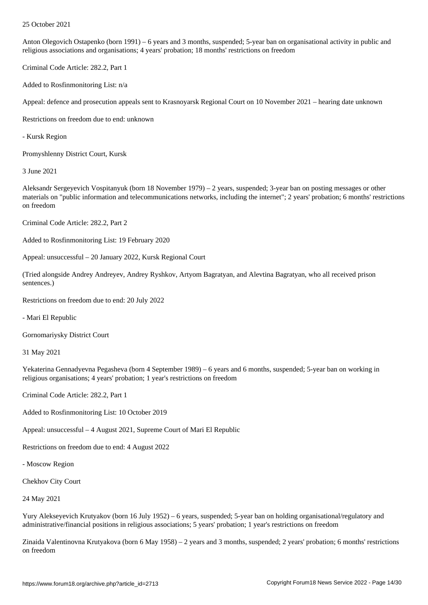Anton Olegovich Ostapenko (born 1991) – 6 years and 3 months, suspended; 5-year ban on organisational activity in public and religious associations and organisations; 4 years' probation; 18 months' restrictions on freedom

Criminal Code Article: 282.2, Part 1

Added to Rosfinmonitoring List: n/a

Appeal: defence and prosecution appeals sent to Krasnoyarsk Regional Court on 10 November 2021 – hearing date unknown

Restrictions on freedom due to end: unknown

- Kursk Region

Promyshlenny District Court, Kursk

3 June 2021

Aleksandr Sergeyevich Vospitanyuk (born 18 November 1979) – 2 years, suspended; 3-year ban on posting messages or other materials on "public information and telecommunications networks, including the internet"; 2 years' probation; 6 months' restrictions on freedom

Criminal Code Article: 282.2, Part 2

Added to Rosfinmonitoring List: 19 February 2020

Appeal: unsuccessful – 20 January 2022, Kursk Regional Court

(Tried alongside Andrey Andreyev, Andrey Ryshkov, Artyom Bagratyan, and Alevtina Bagratyan, who all received prison sentences.)

Restrictions on freedom due to end: 20 July 2022

- Mari El Republic

Gornomariysky District Court

31 May 2021

Yekaterina Gennadyevna Pegasheva (born 4 September 1989) – 6 years and 6 months, suspended; 5-year ban on working in religious organisations; 4 years' probation; 1 year's restrictions on freedom

Criminal Code Article: 282.2, Part 1

Added to Rosfinmonitoring List: 10 October 2019

Appeal: unsuccessful – 4 August 2021, Supreme Court of Mari El Republic

Restrictions on freedom due to end: 4 August 2022

- Moscow Region

Chekhov City Court

24 May 2021

Yury Alekseyevich Krutyakov (born 16 July 1952) – 6 years, suspended; 5-year ban on holding organisational/regulatory and administrative/financial positions in religious associations; 5 years' probation; 1 year's restrictions on freedom

Zinaida Valentinovna Krutyakova (born 6 May 1958) – 2 years and 3 months, suspended; 2 years' probation; 6 months' restrictions on freedom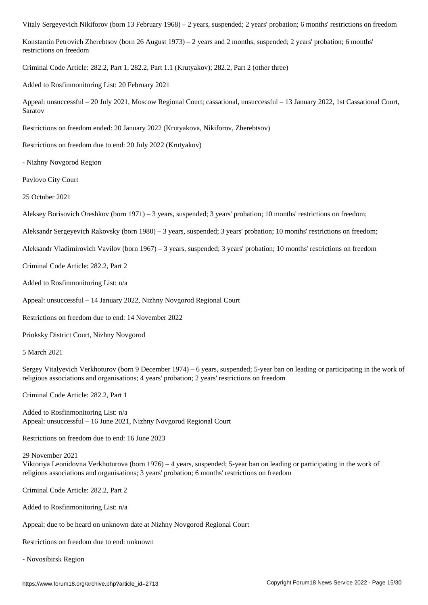Konstantin Petrovich Zherebtsov (born 26 August 1973) – 2 years and 2 months, suspended; 2 years' probation; 6 months' restrictions on freedom

Criminal Code Article: 282.2, Part 1, 282.2, Part 1.1 (Krutyakov); 282.2, Part 2 (other three)

Added to Rosfinmonitoring List: 20 February 2021

Appeal: unsuccessful – 20 July 2021, Moscow Regional Court; cassational, unsuccessful – 13 January 2022, 1st Cassational Court, Saratov

Restrictions on freedom ended: 20 January 2022 (Krutyakova, Nikiforov, Zherebtsov)

Restrictions on freedom due to end: 20 July 2022 (Krutyakov)

- Nizhny Novgorod Region

Pavlovo City Court

25 October 2021

Aleksey Borisovich Oreshkov (born 1971) – 3 years, suspended; 3 years' probation; 10 months' restrictions on freedom;

Aleksandr Sergeyevich Rakovsky (born 1980) – 3 years, suspended; 3 years' probation; 10 months' restrictions on freedom;

Aleksandr Vladimirovich Vavilov (born 1967) – 3 years, suspended; 3 years' probation; 10 months' restrictions on freedom

Criminal Code Article: 282.2, Part 2

Added to Rosfinmonitoring List: n/a

Appeal: unsuccessful – 14 January 2022, Nizhny Novgorod Regional Court

Restrictions on freedom due to end: 14 November 2022

Prioksky District Court, Nizhny Novgorod

5 March 2021

Sergey Vitalyevich Verkhoturov (born 9 December 1974) – 6 years, suspended; 5-year ban on leading or participating in the work of religious associations and organisations; 4 years' probation; 2 years' restrictions on freedom

Criminal Code Article: 282.2, Part 1

Added to Rosfinmonitoring List: n/a Appeal: unsuccessful – 16 June 2021, Nizhny Novgorod Regional Court

Restrictions on freedom due to end: 16 June 2023

29 November 2021 Viktoriya Leonidovna Verkhoturova (born 1976) – 4 years, suspended; 5-year ban on leading or participating in the work of religious associations and organisations; 3 years' probation; 6 months' restrictions on freedom

Criminal Code Article: 282.2, Part 2

Added to Rosfinmonitoring List: n/a

Appeal: due to be heard on unknown date at Nizhny Novgorod Regional Court

Restrictions on freedom due to end: unknown

- Novosibirsk Region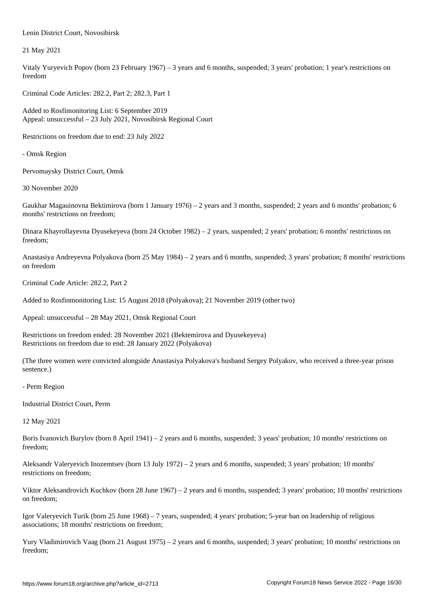21 May 2021

Vitaly Yuryevich Popov (born 23 February 1967) – 3 years and 6 months, suspended; 3 years' probation; 1 year's restrictions on freedom

Criminal Code Articles: 282.2, Part 2; 282.3, Part 1

Added to Rosfimonitoring List: 6 September 2019 Appeal: unsuccessful – 23 July 2021, Novosibirsk Regional Court

Restrictions on freedom due to end: 23 July 2022

- Omsk Region

Pervomaysky District Court, Omsk

Lenin District Court, Novosibirsk

30 November 2020

Gaukhar Magauinovna Bektimirova (born 1 January 1976) – 2 years and 3 months, suspended; 2 years and 6 months' probation; 6 months' restrictions on freedom;

Dinara Khayrollayevna Dyusekeyeva (born 24 October 1982) – 2 years, suspended; 2 years' probation; 6 months' restrictions on freedom;

Anastasiya Andreyevna Polyakova (born 25 May 1984) – 2 years and 6 months, suspended; 3 years' probation; 8 months' restrictions on freedom

Criminal Code Article: 282.2, Part 2

Added to Rosfinmonitoring List: 15 August 2018 (Polyakova); 21 November 2019 (other two)

Appeal: unsuccessful – 28 May 2021, Omsk Regional Court

Restrictions on freedom ended: 28 November 2021 (Bektemirova and Dyusekeyeva) Restrictions on freedom due to end: 28 January 2022 (Polyakova)

(The three women were convicted alongside Anastasiya Polyakova's husband Sergey Polyakov, who received a three-year prison sentence.)

- Perm Region

Industrial District Court, Perm

12 May 2021

Boris Ivanovich Burylov (born 8 April 1941) – 2 years and 6 months, suspended; 3 years' probation; 10 months' restrictions on freedom;

Aleksandr Valeryevich Inozemtsev (born 13 July 1972) – 2 years and 6 months, suspended; 3 years' probation; 10 months' restrictions on freedom;

Viktor Aleksandrovich Kuchkov (born 28 June 1967) – 2 years and 6 months, suspended; 3 years' probation; 10 months' restrictions on freedom;

Igor Valeryevich Turik (born 25 June 1968) – 7 years, suspended; 4 years' probation; 5-year ban on leadership of religious associations; 18 months' restrictions on freedom;

Yury Vladimirovich Vaag (born 21 August 1975) – 2 years and 6 months, suspended; 3 years' probation; 10 months' restrictions on freedom;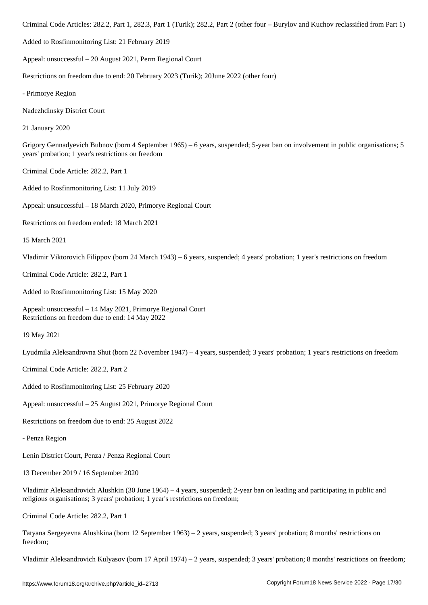Added to Rosfinmonitoring List: 21 February 2019

Appeal: unsuccessful – 20 August 2021, Perm Regional Court

Restrictions on freedom due to end: 20 February 2023 (Turik); 20June 2022 (other four)

- Primorye Region

Nadezhdinsky District Court

21 January 2020

Grigory Gennadyevich Bubnov (born 4 September 1965) – 6 years, suspended; 5-year ban on involvement in public organisations; 5 years' probation; 1 year's restrictions on freedom

Criminal Code Article: 282.2, Part 1

Added to Rosfinmonitoring List: 11 July 2019

Appeal: unsuccessful – 18 March 2020, Primorye Regional Court

Restrictions on freedom ended: 18 March 2021

15 March 2021

Vladimir Viktorovich Filippov (born 24 March 1943) – 6 years, suspended; 4 years' probation; 1 year's restrictions on freedom

Criminal Code Article: 282.2, Part 1

Added to Rosfinmonitoring List: 15 May 2020

Appeal: unsuccessful – 14 May 2021, Primorye Regional Court Restrictions on freedom due to end: 14 May 2022

19 May 2021

Lyudmila Aleksandrovna Shut (born 22 November 1947) – 4 years, suspended; 3 years' probation; 1 year's restrictions on freedom

Criminal Code Article: 282.2, Part 2

Added to Rosfinmonitoring List: 25 February 2020

Appeal: unsuccessful – 25 August 2021, Primorye Regional Court

Restrictions on freedom due to end: 25 August 2022

- Penza Region

Lenin District Court, Penza / Penza Regional Court

13 December 2019 / 16 September 2020

Vladimir Aleksandrovich Alushkin (30 June 1964) – 4 years, suspended; 2-year ban on leading and participating in public and religious organisations; 3 years' probation; 1 year's restrictions on freedom;

Criminal Code Article: 282.2, Part 1

Tatyana Sergeyevna Alushkina (born 12 September 1963) – 2 years, suspended; 3 years' probation; 8 months' restrictions on freedom;

Vladimir Aleksandrovich Kulyasov (born 17 April 1974) – 2 years, suspended; 3 years' probation; 8 months' restrictions on freedom;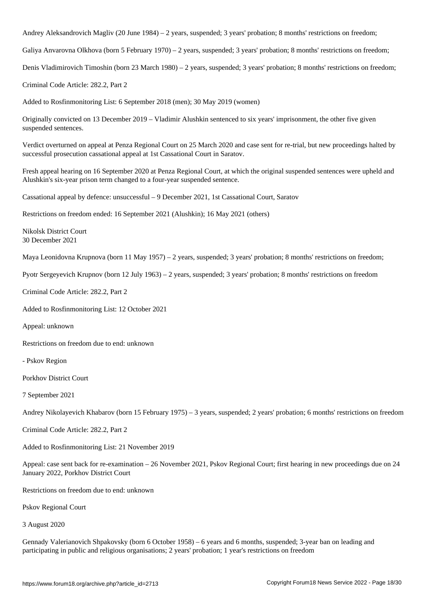Andrey Aleksandrovich Magliv (20 June 1984) – 2 years, suspended; 3 years' probation; 8 months' restrictions on freedom;

Galiya Anvarovna Olkhova (born 5 February 1970) – 2 years, suspended; 3 years' probation; 8 months' restrictions on freedom;

Denis Vladimirovich Timoshin (born 23 March 1980) – 2 years, suspended; 3 years' probation; 8 months' restrictions on freedom;

Criminal Code Article: 282.2, Part 2

Added to Rosfinmonitoring List: 6 September 2018 (men); 30 May 2019 (women)

Originally convicted on 13 December 2019 – Vladimir Alushkin sentenced to six years' imprisonment, the other five given suspended sentences.

Verdict overturned on appeal at Penza Regional Court on 25 March 2020 and case sent for re-trial, but new proceedings halted by successful prosecution cassational appeal at 1st Cassational Court in Saratov.

Fresh appeal hearing on 16 September 2020 at Penza Regional Court, at which the original suspended sentences were upheld and Alushkin's six-year prison term changed to a four-year suspended sentence.

Cassational appeal by defence: unsuccessful – 9 December 2021, 1st Cassational Court, Saratov

Restrictions on freedom ended: 16 September 2021 (Alushkin); 16 May 2021 (others)

Nikolsk District Court 30 December 2021

Maya Leonidovna Krupnova (born 11 May 1957) – 2 years, suspended; 3 years' probation; 8 months' restrictions on freedom;

Pyotr Sergeyevich Krupnov (born 12 July 1963) – 2 years, suspended; 3 years' probation; 8 months' restrictions on freedom

Criminal Code Article: 282.2, Part 2

Added to Rosfinmonitoring List: 12 October 2021

Appeal: unknown

Restrictions on freedom due to end: unknown

- Pskov Region

Porkhov District Court

7 September 2021

Andrey Nikolayevich Khabarov (born 15 February 1975) – 3 years, suspended; 2 years' probation; 6 months' restrictions on freedom

Criminal Code Article: 282.2, Part 2

Added to Rosfinmonitoring List: 21 November 2019

Appeal: case sent back for re-examination – 26 November 2021, Pskov Regional Court; first hearing in new proceedings due on 24 January 2022, Porkhov District Court

Restrictions on freedom due to end: unknown

Pskov Regional Court

3 August 2020

Gennady Valerianovich Shpakovsky (born 6 October 1958) – 6 years and 6 months, suspended; 3-year ban on leading and participating in public and religious organisations; 2 years' probation; 1 year's restrictions on freedom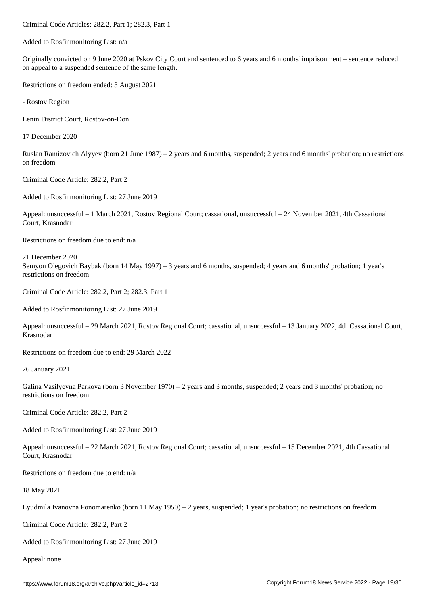Added to Rosfinmonitoring List: n/a

Originally convicted on 9 June 2020 at Pskov City Court and sentenced to 6 years and 6 months' imprisonment – sentence reduced on appeal to a suspended sentence of the same length.

Restrictions on freedom ended: 3 August 2021

- Rostov Region

Lenin District Court, Rostov-on-Don

17 December 2020

Ruslan Ramizovich Alyyev (born 21 June 1987) – 2 years and 6 months, suspended; 2 years and 6 months' probation; no restrictions on freedom

Criminal Code Article: 282.2, Part 2

Added to Rosfinmonitoring List: 27 June 2019

Appeal: unsuccessful – 1 March 2021, Rostov Regional Court; cassational, unsuccessful – 24 November 2021, 4th Cassational Court, Krasnodar

Restrictions on freedom due to end: n/a

21 December 2020 Semyon Olegovich Baybak (born 14 May 1997) – 3 years and 6 months, suspended; 4 years and 6 months' probation; 1 year's restrictions on freedom

Criminal Code Article: 282.2, Part 2; 282.3, Part 1

Added to Rosfinmonitoring List: 27 June 2019

Appeal: unsuccessful – 29 March 2021, Rostov Regional Court; cassational, unsuccessful – 13 January 2022, 4th Cassational Court, Krasnodar

Restrictions on freedom due to end: 29 March 2022

26 January 2021

Galina Vasilyevna Parkova (born 3 November 1970) – 2 years and 3 months, suspended; 2 years and 3 months' probation; no restrictions on freedom

Criminal Code Article: 282.2, Part 2

Added to Rosfinmonitoring List: 27 June 2019

Appeal: unsuccessful – 22 March 2021, Rostov Regional Court; cassational, unsuccessful – 15 December 2021, 4th Cassational Court, Krasnodar

Restrictions on freedom due to end: n/a

18 May 2021

Lyudmila Ivanovna Ponomarenko (born 11 May 1950) – 2 years, suspended; 1 year's probation; no restrictions on freedom

Criminal Code Article: 282.2, Part 2

Added to Rosfinmonitoring List: 27 June 2019

Appeal: none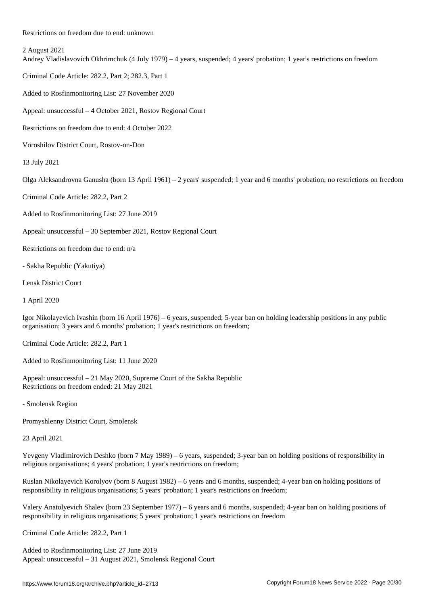2 August 2021

Andrey Vladislavovich Okhrimchuk (4 July 1979) – 4 years, suspended; 4 years' probation; 1 year's restrictions on freedom

Criminal Code Article: 282.2, Part 2; 282.3, Part 1

Added to Rosfinmonitoring List: 27 November 2020

Appeal: unsuccessful – 4 October 2021, Rostov Regional Court

Restrictions on freedom due to end: 4 October 2022

Voroshilov District Court, Rostov-on-Don

13 July 2021

Olga Aleksandrovna Ganusha (born 13 April 1961) – 2 years' suspended; 1 year and 6 months' probation; no restrictions on freedom

Criminal Code Article: 282.2, Part 2

Added to Rosfinmonitoring List: 27 June 2019

Appeal: unsuccessful – 30 September 2021, Rostov Regional Court

Restrictions on freedom due to end: n/a

- Sakha Republic (Yakutiya)

Lensk District Court

1 April 2020

Igor Nikolayevich Ivashin (born 16 April 1976) – 6 years, suspended; 5-year ban on holding leadership positions in any public organisation; 3 years and 6 months' probation; 1 year's restrictions on freedom;

Criminal Code Article: 282.2, Part 1

Added to Rosfinmonitoring List: 11 June 2020

Appeal: unsuccessful – 21 May 2020, Supreme Court of the Sakha Republic Restrictions on freedom ended: 21 May 2021

- Smolensk Region

Promyshlenny District Court, Smolensk

23 April 2021

Yevgeny Vladimirovich Deshko (born 7 May 1989) – 6 years, suspended; 3-year ban on holding positions of responsibility in religious organisations; 4 years' probation; 1 year's restrictions on freedom;

Ruslan Nikolayevich Korolyov (born 8 August 1982) – 6 years and 6 months, suspended; 4-year ban on holding positions of responsibility in religious organisations; 5 years' probation; 1 year's restrictions on freedom;

Valery Anatolyevich Shalev (born 23 September 1977) – 6 years and 6 months, suspended; 4-year ban on holding positions of responsibility in religious organisations; 5 years' probation; 1 year's restrictions on freedom

Criminal Code Article: 282.2, Part 1

Added to Rosfinmonitoring List: 27 June 2019 Appeal: unsuccessful – 31 August 2021, Smolensk Regional Court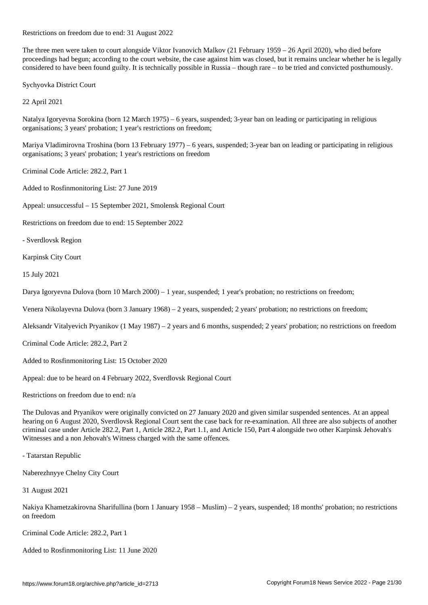Restrictions on freedom due to end: 31 August 2022

The three men were taken to court alongside Viktor Ivanovich Malkov (21 February 1959 – 26 April 2020), who died before proceedings had begun; according to the court website, the case against him was closed, but it remains unclear whether he is legally considered to have been found guilty. It is technically possible in Russia – though rare – to be tried and convicted posthumously.

Sychyovka District Court

22 April 2021

Natalya Igoryevna Sorokina (born 12 March 1975) – 6 years, suspended; 3-year ban on leading or participating in religious organisations; 3 years' probation; 1 year's restrictions on freedom;

Mariya Vladimirovna Troshina (born 13 February 1977) – 6 years, suspended; 3-year ban on leading or participating in religious organisations; 3 years' probation; 1 year's restrictions on freedom

Criminal Code Article: 282.2, Part 1

Added to Rosfinmonitoring List: 27 June 2019

Appeal: unsuccessful – 15 September 2021, Smolensk Regional Court

Restrictions on freedom due to end: 15 September 2022

- Sverdlovsk Region

Karpinsk City Court

15 July 2021

Darya Igoryevna Dulova (born 10 March 2000) – 1 year, suspended; 1 year's probation; no restrictions on freedom;

Venera Nikolayevna Dulova (born 3 January 1968) – 2 years, suspended; 2 years' probation; no restrictions on freedom;

Aleksandr Vitalyevich Pryanikov (1 May 1987) – 2 years and 6 months, suspended; 2 years' probation; no restrictions on freedom

Criminal Code Article: 282.2, Part 2

Added to Rosfinmonitoring List: 15 October 2020

Appeal: due to be heard on 4 February 2022, Sverdlovsk Regional Court

Restrictions on freedom due to end: n/a

The Dulovas and Pryanikov were originally convicted on 27 January 2020 and given similar suspended sentences. At an appeal hearing on 6 August 2020, Sverdlovsk Regional Court sent the case back for re-examination. All three are also subjects of another criminal case under Article 282.2, Part 1, Article 282.2, Part 1.1, and Article 150, Part 4 alongside two other Karpinsk Jehovah's Witnesses and a non Jehovah's Witness charged with the same offences.

- Tatarstan Republic

Naberezhnyye Chelny City Court

31 August 2021

Nakiya Khametzakirovna Sharifullina (born 1 January 1958 – Muslim) – 2 years, suspended; 18 months' probation; no restrictions on freedom

Criminal Code Article: 282.2, Part 1

Added to Rosfinmonitoring List: 11 June 2020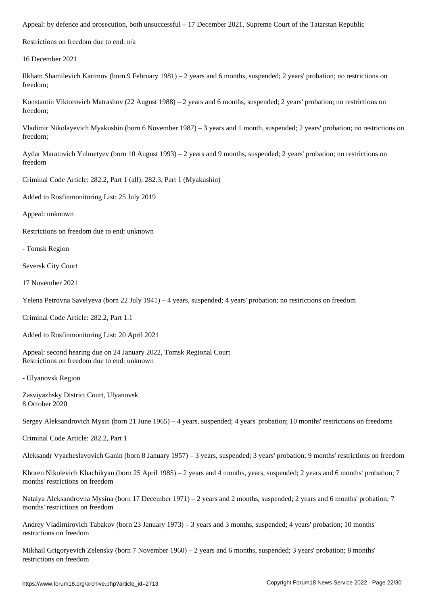Restrictions on freedom due to end: n/a

16 December 2021

Ilkham Shamilevich Karimov (born 9 February 1981) – 2 years and 6 months, suspended; 2 years' probation; no restrictions on freedom;

Konstantin Viktorovich Matrashov (22 August 1988) – 2 years and 6 months, suspended; 2 years' probation; no restrictions on freedom;

Vladimir Nikolayevich Myakushin (born 6 November 1987) – 3 years and 1 month, suspended; 2 years' probation; no restrictions on freedom;

Aydar Maratovich Yulmetyev (born 10 August 1993) – 2 years and 9 months, suspended; 2 years' probation; no restrictions on freedom

Criminal Code Article: 282.2, Part 1 (all); 282.3, Part 1 (Myakushin)

Added to Rosfinmonitoring List: 25 July 2019

Appeal: unknown

Restrictions on freedom due to end: unknown

- Tomsk Region

Seversk City Court

17 November 2021

Yelena Petrovna Savelyeva (born 22 July 1941) – 4 years, suspended; 4 years' probation; no restrictions on freedom

Criminal Code Article: 282.2, Part 1.1

Added to Rosfinmonitoring List: 20 April 2021

Appeal: second hearing due on 24 January 2022, Tomsk Regional Court Restrictions on freedom due to end: unknown

- Ulyanovsk Region

Zasviyazhsky District Court, Ulyanovsk 8 October 2020

Sergey Aleksandrovich Mysin (born 21 June 1965) – 4 years, suspended; 4 years' probation; 10 months' restrictions on freedoms

Criminal Code Article: 282.2, Part 1

Aleksandr Vyacheslavovich Ganin (born 8 January 1957) – 3 years, suspended; 3 years' probation; 9 months' restrictions on freedom

Khoren Nikolevich Khachikyan (born 25 April 1985) – 2 years and 4 months, years, suspended; 2 years and 6 months' probation; 7 months' restrictions on freedom

Natalya Aleksandrovna Mysina (born 17 December 1971) – 2 years and 2 months, suspended; 2 years and 6 months' probation; 7 months' restrictions on freedom

Andrey Vladimirovich Tabakov (born 23 January 1973) – 3 years and 3 months, suspended; 4 years' probation; 10 months' restrictions on freedom

Mikhail Grigoryevich Zelensky (born 7 November 1960) – 2 years and 6 months, suspended; 3 years' probation; 8 months' restrictions on freedom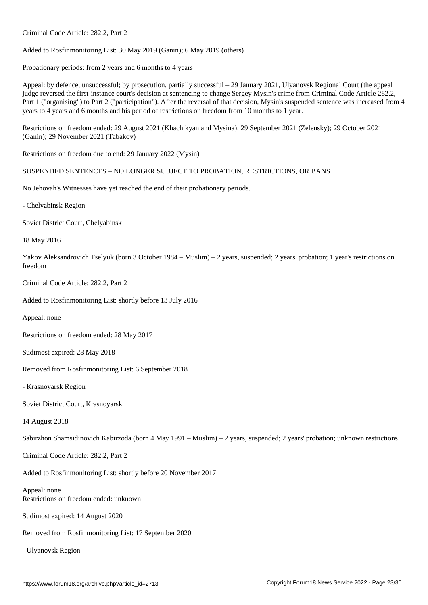Added to Rosfinmonitoring List: 30 May 2019 (Ganin); 6 May 2019 (others)

Probationary periods: from 2 years and 6 months to 4 years

Criminal Code Article: 282.2, Part 2

Appeal: by defence, unsuccessful; by prosecution, partially successful – 29 January 2021, Ulyanovsk Regional Court (the appeal judge reversed the first-instance court's decision at sentencing to change Sergey Mysin's crime from Criminal Code Article 282.2, Part 1 ("organising") to Part 2 ("participation"). After the reversal of that decision, Mysin's suspended sentence was increased from 4 years to 4 years and 6 months and his period of restrictions on freedom from 10 months to 1 year.

Restrictions on freedom ended: 29 August 2021 (Khachikyan and Mysina); 29 September 2021 (Zelensky); 29 October 2021 (Ganin); 29 November 2021 (Tabakov)

Restrictions on freedom due to end: 29 January 2022 (Mysin)

SUSPENDED SENTENCES – NO LONGER SUBJECT TO PROBATION, RESTRICTIONS, OR BANS

No Jehovah's Witnesses have yet reached the end of their probationary periods.

- Chelyabinsk Region

Soviet District Court, Chelyabinsk

18 May 2016

Yakov Aleksandrovich Tselyuk (born 3 October 1984 – Muslim) – 2 years, suspended; 2 years' probation; 1 year's restrictions on freedom

Criminal Code Article: 282.2, Part 2

Added to Rosfinmonitoring List: shortly before 13 July 2016

Appeal: none

Restrictions on freedom ended: 28 May 2017

Sudimost expired: 28 May 2018

Removed from Rosfinmonitoring List: 6 September 2018

- Krasnoyarsk Region

Soviet District Court, Krasnoyarsk

14 August 2018

Sabirzhon Shamsidinovich Kabirzoda (born 4 May 1991 – Muslim) – 2 years, suspended; 2 years' probation; unknown restrictions

Criminal Code Article: 282.2, Part 2

Added to Rosfinmonitoring List: shortly before 20 November 2017

Appeal: none Restrictions on freedom ended: unknown

Sudimost expired: 14 August 2020

Removed from Rosfinmonitoring List: 17 September 2020

- Ulyanovsk Region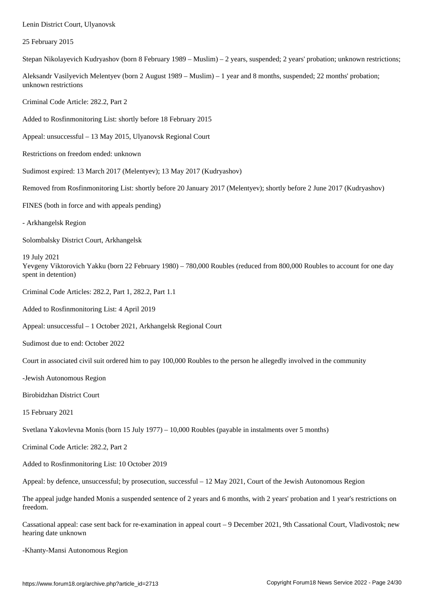#### 25 February 2015

Stepan Nikolayevich Kudryashov (born 8 February 1989 – Muslim) – 2 years, suspended; 2 years' probation; unknown restrictions;

Aleksandr Vasilyevich Melentyev (born 2 August 1989 – Muslim) – 1 year and 8 months, suspended; 22 months' probation; unknown restrictions

Criminal Code Article: 282.2, Part 2

Added to Rosfinmonitoring List: shortly before 18 February 2015

Appeal: unsuccessful – 13 May 2015, Ulyanovsk Regional Court

Restrictions on freedom ended: unknown

Sudimost expired: 13 March 2017 (Melentyev); 13 May 2017 (Kudryashov)

Removed from Rosfinmonitoring List: shortly before 20 January 2017 (Melentyev); shortly before 2 June 2017 (Kudryashov)

FINES (both in force and with appeals pending)

- Arkhangelsk Region

Solombalsky District Court, Arkhangelsk

19 July 2021 Yevgeny Viktorovich Yakku (born 22 February 1980) – 780,000 Roubles (reduced from 800,000 Roubles to account for one day spent in detention)

Criminal Code Articles: 282.2, Part 1, 282.2, Part 1.1

Added to Rosfinmonitoring List: 4 April 2019

Appeal: unsuccessful – 1 October 2021, Arkhangelsk Regional Court

Sudimost due to end: October 2022

Court in associated civil suit ordered him to pay 100,000 Roubles to the person he allegedly involved in the community

-Jewish Autonomous Region

Birobidzhan District Court

15 February 2021

Svetlana Yakovlevna Monis (born 15 July 1977) – 10,000 Roubles (payable in instalments over 5 months)

Criminal Code Article: 282.2, Part 2

Added to Rosfinmonitoring List: 10 October 2019

Appeal: by defence, unsuccessful; by prosecution, successful – 12 May 2021, Court of the Jewish Autonomous Region

The appeal judge handed Monis a suspended sentence of 2 years and 6 months, with 2 years' probation and 1 year's restrictions on freedom.

Cassational appeal: case sent back for re-examination in appeal court – 9 December 2021, 9th Cassational Court, Vladivostok; new hearing date unknown

-Khanty-Mansi Autonomous Region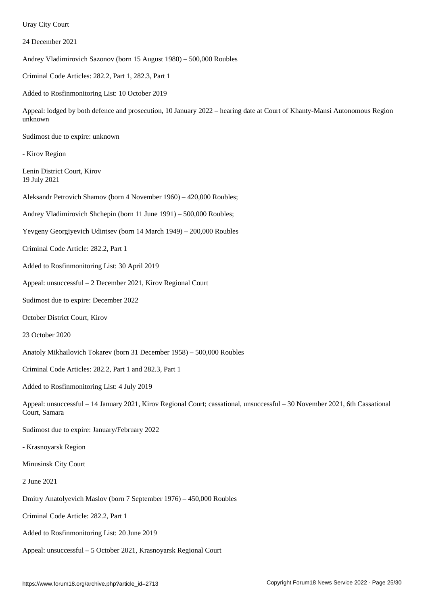24 December 2021

Andrey Vladimirovich Sazonov (born 15 August 1980) – 500,000 Roubles

Criminal Code Articles: 282.2, Part 1, 282.3, Part 1

Added to Rosfinmonitoring List: 10 October 2019

Appeal: lodged by both defence and prosecution, 10 January 2022 – hearing date at Court of Khanty-Mansi Autonomous Region unknown

Sudimost due to expire: unknown

- Kirov Region

Lenin District Court, Kirov 19 July 2021

Aleksandr Petrovich Shamov (born 4 November 1960) – 420,000 Roubles;

Andrey Vladimirovich Shchepin (born 11 June 1991) – 500,000 Roubles;

Yevgeny Georgiyevich Udintsev (born 14 March 1949) – 200,000 Roubles

Criminal Code Article: 282.2, Part 1

Added to Rosfinmonitoring List: 30 April 2019

Appeal: unsuccessful – 2 December 2021, Kirov Regional Court

Sudimost due to expire: December 2022

October District Court, Kirov

23 October 2020

Anatoly Mikhailovich Tokarev (born 31 December 1958) – 500,000 Roubles

Criminal Code Articles: 282.2, Part 1 and 282.3, Part 1

Added to Rosfinmonitoring List: 4 July 2019

Appeal: unsuccessful – 14 January 2021, Kirov Regional Court; cassational, unsuccessful – 30 November 2021, 6th Cassational Court, Samara

Sudimost due to expire: January/February 2022

- Krasnoyarsk Region

Minusinsk City Court

2 June 2021

Dmitry Anatolyevich Maslov (born 7 September 1976) – 450,000 Roubles

Criminal Code Article: 282.2, Part 1

Added to Rosfinmonitoring List: 20 June 2019

Appeal: unsuccessful – 5 October 2021, Krasnoyarsk Regional Court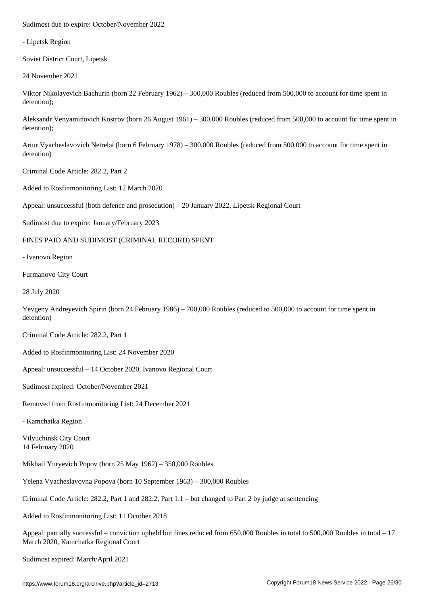- Lipetsk Region

Soviet District Court, Lipetsk

24 November 2021

Viktor Nikolayevich Bachurin (born 22 February 1962) – 300,000 Roubles (reduced from 500,000 to account for time spent in detention);

Aleksandr Venyaminovich Kostrov (born 26 August 1961) – 300,000 Roubles (reduced from 500,000 to account for time spent in detention);

Artur Vyacheslavovich Netreba (born 6 February 1978) – 300,000 Roubles (reduced from 500,000 to account for time spent in detention)

Criminal Code Article: 282.2, Part 2

Added to Rosfinmonitoring List: 12 March 2020

Appeal: unsuccessful (both defence and prosecution) – 20 January 2022, Lipetsk Regional Court

Sudimost due to expire: January/February 2023

#### FINES PAID AND SUDIMOST (CRIMINAL RECORD) SPENT

- Ivanovo Region

Furmanovo City Court

28 July 2020

Yevgeny Andreyevich Spirin (born 24 February 1986) – 700,000 Roubles (reduced to 500,000 to account for time spent in detention)

Criminal Code Article: 282.2, Part 1

Added to Rosfinmonitoring List: 24 November 2020

Appeal: unsuccessful – 14 October 2020, Ivanovo Regional Court

Sudimost expired: October/November 2021

Removed from Rosfinmonitoring List: 24 December 2021

- Kamchatka Region

Vilyuchinsk City Court 14 February 2020

Mikhail Yuryevich Popov (born 25 May 1962) – 350,000 Roubles

Yelena Vyacheslavovna Popova (born 10 September 1963) – 300,000 Roubles

Criminal Code Article: 282.2, Part 1 and 282.2, Part 1.1 – but changed to Part 2 by judge at sentencing

Added to Rosfinmonitoring List: 11 October 2018

Appeal: partially successful – conviction upheld but fines reduced from 650,000 Roubles in total to 500,000 Roubles in total – 17 March 2020, Kamchatka Regional Court

Sudimost expired: March/April 2021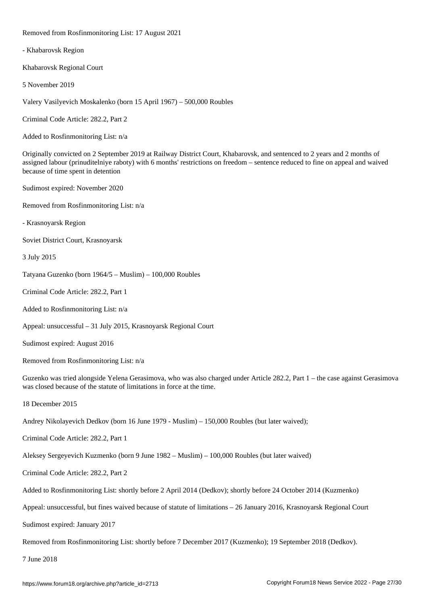Removed from Rosfinmonitoring List: 17 August 2021

- Khabarovsk Region

Khabarovsk Regional Court

5 November 2019

Valery Vasilyevich Moskalenko (born 15 April 1967) – 500,000 Roubles

Criminal Code Article: 282.2, Part 2

Added to Rosfinmonitoring List: n/a

Originally convicted on 2 September 2019 at Railway District Court, Khabarovsk, and sentenced to 2 years and 2 months of assigned labour (prinuditelniye raboty) with 6 months' restrictions on freedom – sentence reduced to fine on appeal and waived because of time spent in detention

Sudimost expired: November 2020

Removed from Rosfinmonitoring List: n/a

- Krasnoyarsk Region

Soviet District Court, Krasnoyarsk

3 July 2015

Tatyana Guzenko (born 1964/5 – Muslim) – 100,000 Roubles

Criminal Code Article: 282.2, Part 1

Added to Rosfinmonitoring List: n/a

Appeal: unsuccessful – 31 July 2015, Krasnoyarsk Regional Court

Sudimost expired: August 2016

Removed from Rosfinmonitoring List: n/a

Guzenko was tried alongside Yelena Gerasimova, who was also charged under Article 282.2, Part 1 – the case against Gerasimova was closed because of the statute of limitations in force at the time.

18 December 2015

Andrey Nikolayevich Dedkov (born 16 June 1979 - Muslim) – 150,000 Roubles (but later waived);

Criminal Code Article: 282.2, Part 1

Aleksey Sergeyevich Kuzmenko (born 9 June 1982 – Muslim) – 100,000 Roubles (but later waived)

Criminal Code Article: 282.2, Part 2

Added to Rosfinmonitoring List: shortly before 2 April 2014 (Dedkov); shortly before 24 October 2014 (Kuzmenko)

Appeal: unsuccessful, but fines waived because of statute of limitations – 26 January 2016, Krasnoyarsk Regional Court

Sudimost expired: January 2017

Removed from Rosfinmonitoring List: shortly before 7 December 2017 (Kuzmenko); 19 September 2018 (Dedkov).

7 June 2018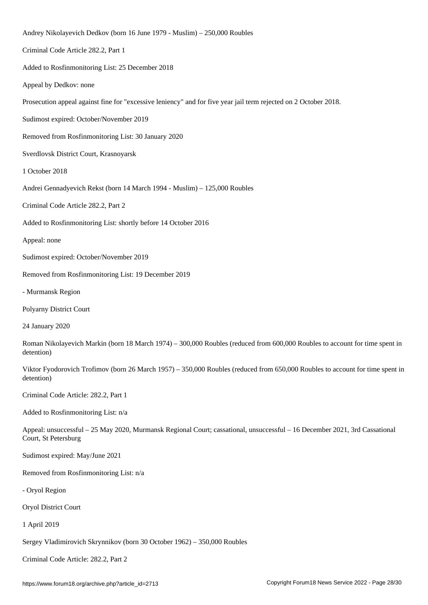Andrey Nikolayevich Dedkov (born 16 June 1979 - Muslim) – 250,000 Roubles Criminal Code Article 282.2, Part 1 Added to Rosfinmonitoring List: 25 December 2018 Appeal by Dedkov: none Prosecution appeal against fine for "excessive leniency" and for five year jail term rejected on 2 October 2018. Sudimost expired: October/November 2019 Removed from Rosfinmonitoring List: 30 January 2020 Sverdlovsk District Court, Krasnoyarsk 1 October 2018 Andrei Gennadyevich Rekst (born 14 March 1994 - Muslim) – 125,000 Roubles Criminal Code Article 282.2, Part 2 Added to Rosfinmonitoring List: shortly before 14 October 2016 Appeal: none Sudimost expired: October/November 2019 Removed from Rosfinmonitoring List: 19 December 2019 - Murmansk Region Polyarny District Court 24 January 2020 Roman Nikolayevich Markin (born 18 March 1974) – 300,000 Roubles (reduced from 600,000 Roubles to account for time spent in detention) Viktor Fyodorovich Trofimov (born 26 March 1957) – 350,000 Roubles (reduced from 650,000 Roubles to account for time spent in detention) Criminal Code Article: 282.2, Part 1 Added to Rosfinmonitoring List: n/a Appeal: unsuccessful – 25 May 2020, Murmansk Regional Court; cassational, unsuccessful – 16 December 2021, 3rd Cassational Court, St Petersburg Sudimost expired: May/June 2021 Removed from Rosfinmonitoring List: n/a - Oryol Region Oryol District Court 1 April 2019 Sergey Vladimirovich Skrynnikov (born 30 October 1962) – 350,000 Roubles

Criminal Code Article: 282.2, Part 2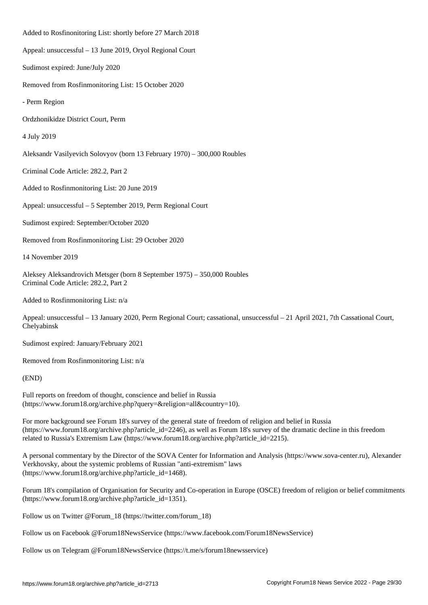Added to Rosfinonitoring List: shortly before 27 March 2018 Appeal: unsuccessful – 13 June 2019, Oryol Regional Court Sudimost expired: June/July 2020 Removed from Rosfinmonitoring List: 15 October 2020 - Perm Region Ordzhonikidze District Court, Perm 4 July 2019 Aleksandr Vasilyevich Solovyov (born 13 February 1970) – 300,000 Roubles Criminal Code Article: 282.2, Part 2 Added to Rosfinmonitoring List: 20 June 2019 Appeal: unsuccessful – 5 September 2019, Perm Regional Court Sudimost expired: September/October 2020 Removed from Rosfinmonitoring List: 29 October 2020 14 November 2019 Aleksey Aleksandrovich Metsger (born 8 September 1975) – 350,000 Roubles Criminal Code Article: 282.2, Part 2

Added to Rosfinmonitoring List: n/a

Appeal: unsuccessful – 13 January 2020, Perm Regional Court; cassational, unsuccessful – 21 April 2021, 7th Cassational Court, Chelyabinsk

Sudimost expired: January/February 2021

Removed from Rosfinmonitoring List: n/a

#### (END)

Full reports on freedom of thought, conscience and belief in Russia (https://www.forum18.org/archive.php?query=&religion=all&country=10).

For more background see Forum 18's survey of the general state of freedom of religion and belief in Russia (https://www.forum18.org/archive.php?article\_id=2246), as well as Forum 18's survey of the dramatic decline in this freedom related to Russia's Extremism Law (https://www.forum18.org/archive.php?article\_id=2215).

A personal commentary by the Director of the SOVA Center for Information and Analysis (https://www.sova-center.ru), Alexander Verkhovsky, about the systemic problems of Russian "anti-extremism" laws (https://www.forum18.org/archive.php?article\_id=1468).

Forum 18's compilation of Organisation for Security and Co-operation in Europe (OSCE) freedom of religion or belief commitments (https://www.forum18.org/archive.php?article\_id=1351).

Follow us on Twitter @Forum\_18 (https://twitter.com/forum\_18)

Follow us on Facebook @Forum18NewsService (https://www.facebook.com/Forum18NewsService)

Follow us on Telegram @Forum18NewsService (https://t.me/s/forum18newsservice)